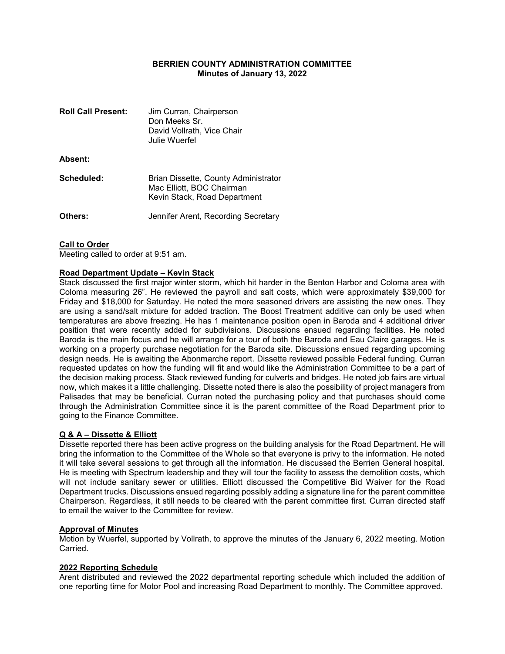## BERRIEN COUNTY ADMINISTRATION COMMITTEE Minutes of January 13, 2022

| <b>Roll Call Present:</b> | Jim Curran, Chairperson<br>Don Meeks Sr.<br>David Vollrath, Vice Chair<br>Julie Wuerfel           |
|---------------------------|---------------------------------------------------------------------------------------------------|
| Absent:                   |                                                                                                   |
| Scheduled:                | Brian Dissette, County Administrator<br>Mac Elliott, BOC Chairman<br>Kevin Stack, Road Department |
| Others:                   | Jennifer Arent, Recording Secretary                                                               |

## **Call to Order**

Meeting called to order at 9:51 am.

### Road Department Update – Kevin Stack

Stack discussed the first major winter storm, which hit harder in the Benton Harbor and Coloma area with Coloma measuring 26". He reviewed the payroll and salt costs, which were approximately \$39,000 for Friday and \$18,000 for Saturday. He noted the more seasoned drivers are assisting the new ones. They are using a sand/salt mixture for added traction. The Boost Treatment additive can only be used when temperatures are above freezing. He has 1 maintenance position open in Baroda and 4 additional driver position that were recently added for subdivisions. Discussions ensued regarding facilities. He noted Baroda is the main focus and he will arrange for a tour of both the Baroda and Eau Claire garages. He is working on a property purchase negotiation for the Baroda site. Discussions ensued regarding upcoming design needs. He is awaiting the Abonmarche report. Dissette reviewed possible Federal funding. Curran requested updates on how the funding will fit and would like the Administration Committee to be a part of the decision making process. Stack reviewed funding for culverts and bridges. He noted job fairs are virtual now, which makes it a little challenging. Dissette noted there is also the possibility of project managers from Palisades that may be beneficial. Curran noted the purchasing policy and that purchases should come through the Administration Committee since it is the parent committee of the Road Department prior to going to the Finance Committee.

## Q & A – Dissette & Elliott

Dissette reported there has been active progress on the building analysis for the Road Department. He will bring the information to the Committee of the Whole so that everyone is privy to the information. He noted it will take several sessions to get through all the information. He discussed the Berrien General hospital. He is meeting with Spectrum leadership and they will tour the facility to assess the demolition costs, which will not include sanitary sewer or utilities. Elliott discussed the Competitive Bid Waiver for the Road Department trucks. Discussions ensued regarding possibly adding a signature line for the parent committee Chairperson. Regardless, it still needs to be cleared with the parent committee first. Curran directed staff to email the waiver to the Committee for review.

### Approval of Minutes

Motion by Wuerfel, supported by Vollrath, to approve the minutes of the January 6, 2022 meeting. Motion Carried.

## 2022 Reporting Schedule

Arent distributed and reviewed the 2022 departmental reporting schedule which included the addition of one reporting time for Motor Pool and increasing Road Department to monthly. The Committee approved.